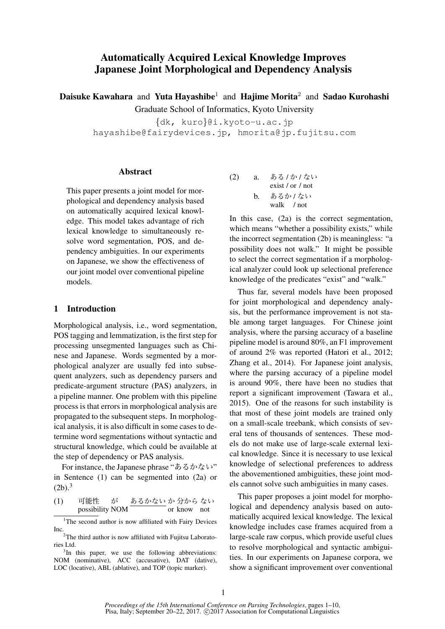# Automatically Acquired Lexical Knowledge Improves Japanese Joint Morphological and Dependency Analysis

Daisuke Kawahara and Yuta Hayashibe<sup>1</sup> and Hajime Morita<sup>2</sup> and Sadao Kurohashi Graduate School of Informatics, Kyoto University

{dk, kuro}@i.kyoto-u.ac.jp hayashibe@fairydevices.jp, hmorita@jp.fujitsu.com

#### Abstract

This paper presents a joint model for morphological and dependency analysis based on automatically acquired lexical knowledge. This model takes advantage of rich lexical knowledge to simultaneously resolve word segmentation, POS, and dependency ambiguities. In our experiments on Japanese, we show the effectiveness of our joint model over conventional pipeline models.

### 1 Introduction

Morphological analysis, i.e., word segmentation, POS tagging and lemmatization, is the first step for processing unsegmented languages such as Chinese and Japanese. Words segmented by a morphological analyzer are usually fed into subsequent analyzers, such as dependency parsers and predicate-argument structure (PAS) analyzers, in a pipeline manner. One problem with this pipeline process is that errors in morphological analysis are propagated to the subsequent steps. In morphological analysis, it is also difficult in some cases to determine word segmentations without syntactic and structural knowledge, which could be available at the step of dependency or PAS analysis.

For instance, the Japanese phrase "あるかない" in Sentence (1) can be segmented into (2a) or  $(2b).<sup>3</sup>$ 

(1) 可能性 possibility が NOM あるかない か or 分から know ない not

(2) a. 
$$
\frac{\hbar \delta}{\hbar} \frac{\hbar \omega}{\hbar} \frac{\partial \psi}{\partial x}
$$
  
exist/or / not  
b.  $\frac{\hbar \delta \delta \hbar}{\hbar} \frac{\hbar \omega}{\hbar} \frac{\partial \psi}{\partial x}$   
walk / not

In this case, (2a) is the correct segmentation, which means "whether a possibility exists," while the incorrect segmentation (2b) is meaningless: "a possibility does not walk." It might be possible to select the correct segmentation if a morphological analyzer could look up selectional preference knowledge of the predicates "exist" and "walk."

Thus far, several models have been proposed for joint morphological and dependency analysis, but the performance improvement is not stable among target languages. For Chinese joint analysis, where the parsing accuracy of a baseline pipeline model is around 80%, an F1 improvement of around 2% was reported (Hatori et al., 2012; Zhang et al., 2014). For Japanese joint analysis, where the parsing accuracy of a pipeline model is around 90%, there have been no studies that report a significant improvement (Tawara et al., 2015). One of the reasons for such instability is that most of these joint models are trained only on a small-scale treebank, which consists of several tens of thousands of sentences. These models do not make use of large-scale external lexical knowledge. Since it is necessary to use lexical knowledge of selectional preferences to address the abovementioned ambiguities, these joint models cannot solve such ambiguities in many cases.

This paper proposes a joint model for morphological and dependency analysis based on automatically acquired lexical knowledge. The lexical knowledge includes case frames acquired from a large-scale raw corpus, which provide useful clues to resolve morphological and syntactic ambiguities. In our experiments on Japanese corpora, we show a significant improvement over conventional

<sup>&</sup>lt;sup>1</sup>The second author is now affiliated with Fairy Devices Inc.

<sup>&</sup>lt;sup>2</sup>The third author is now affiliated with Fujitsu Laboratories Ltd.

<sup>&</sup>lt;sup>3</sup>In this paper, we use the following abbreviations: NOM (nominative), ACC (accusative), DAT (dative), LOC (locative), ABL (ablative), and TOP (topic marker).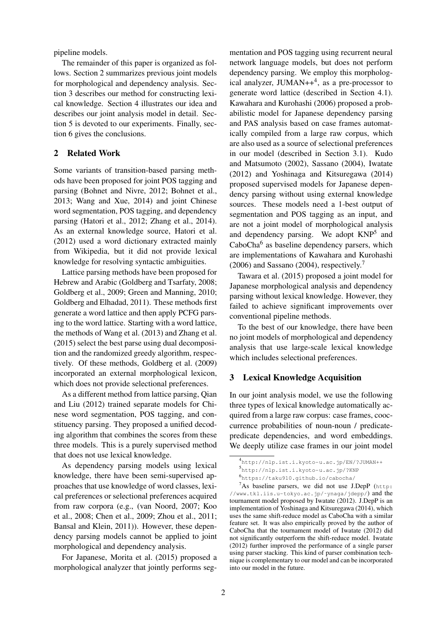pipeline models.

The remainder of this paper is organized as follows. Section 2 summarizes previous joint models for morphological and dependency analysis. Section 3 describes our method for constructing lexical knowledge. Section 4 illustrates our idea and describes our joint analysis model in detail. Section 5 is devoted to our experiments. Finally, section 6 gives the conclusions.

## 2 Related Work

Some variants of transition-based parsing methods have been proposed for joint POS tagging and parsing (Bohnet and Nivre, 2012; Bohnet et al., 2013; Wang and Xue, 2014) and joint Chinese word segmentation, POS tagging, and dependency parsing (Hatori et al., 2012; Zhang et al., 2014). As an external knowledge source, Hatori et al. (2012) used a word dictionary extracted mainly from Wikipedia, but it did not provide lexical knowledge for resolving syntactic ambiguities.

Lattice parsing methods have been proposed for Hebrew and Arabic (Goldberg and Tsarfaty, 2008; Goldberg et al., 2009; Green and Manning, 2010; Goldberg and Elhadad, 2011). These methods first generate a word lattice and then apply PCFG parsing to the word lattice. Starting with a word lattice, the methods of Wang et al. (2013) and Zhang et al. (2015) select the best parse using dual decomposition and the randomized greedy algorithm, respectively. Of these methods, Goldberg et al. (2009) incorporated an external morphological lexicon, which does not provide selectional preferences.

As a different method from lattice parsing, Qian and Liu (2012) trained separate models for Chinese word segmentation, POS tagging, and constituency parsing. They proposed a unified decoding algorithm that combines the scores from these three models. This is a purely supervised method that does not use lexical knowledge.

As dependency parsing models using lexical knowledge, there have been semi-supervised approaches that use knowledge of word classes, lexical preferences or selectional preferences acquired from raw corpora (e.g., (van Noord, 2007; Koo et al., 2008; Chen et al., 2009; Zhou et al., 2011; Bansal and Klein, 2011)). However, these dependency parsing models cannot be applied to joint morphological and dependency analysis.

For Japanese, Morita et al. (2015) proposed a morphological analyzer that jointly performs seg-

mentation and POS tagging using recurrent neural network language models, but does not perform dependency parsing. We employ this morphological analyzer, JUMAN++<sup>4</sup>, as a pre-processor to generate word lattice (described in Section 4.1). Kawahara and Kurohashi (2006) proposed a probabilistic model for Japanese dependency parsing and PAS analysis based on case frames automatically compiled from a large raw corpus, which are also used as a source of selectional preferences in our model (described in Section 3.1). Kudo and Matsumoto (2002), Sassano (2004), Iwatate (2012) and Yoshinaga and Kitsuregawa (2014) proposed supervised models for Japanese dependency parsing without using external knowledge sources. These models need a 1-best output of segmentation and POS tagging as an input, and are not a joint model of morphological analysis and dependency parsing. We adopt KNP<sup>5</sup> and CaboCha<sup>6</sup> as baseline dependency parsers, which are implementations of Kawahara and Kurohashi (2006) and Sassano (2004), respectively.<sup>7</sup>

Tawara et al. (2015) proposed a joint model for Japanese morphological analysis and dependency parsing without lexical knowledge. However, they failed to achieve significant improvements over conventional pipeline methods.

To the best of our knowledge, there have been no joint models of morphological and dependency analysis that use large-scale lexical knowledge which includes selectional preferences.

### 3 Lexical Knowledge Acquisition

In our joint analysis model, we use the following three types of lexical knowledge automatically acquired from a large raw corpus: case frames, cooccurrence probabilities of noun-noun / predicatepredicate dependencies, and word embeddings. We deeply utilize case frames in our joint model

<sup>4</sup> http://nlp.ist.i.kyoto-u.ac.jp/EN/?JUMAN++

<sup>5</sup> http://nlp.ist.i.kyoto-u.ac.jp/?KNP

<sup>6</sup> https://taku910.github.io/cabocha/

 $7As$  baseline parsers, we did not use J.DepP (http: //www.tkl.iis.u-tokyo.ac.jp/˜ynaga/jdepp/) and the tournament model proposed by Iwatate (2012). J.DepP is an implementation of Yoshinaga and Kitsuregawa (2014), which uses the same shift-reduce model as CaboCha with a similar feature set. It was also empirically proved by the author of CaboCha that the tournament model of Iwatate (2012) did not significantly outperform the shift-reduce model. Iwatate (2012) further improved the performance of a single parser using parser stacking. This kind of parser combination technique is complementary to our model and can be incorporated into our model in the future.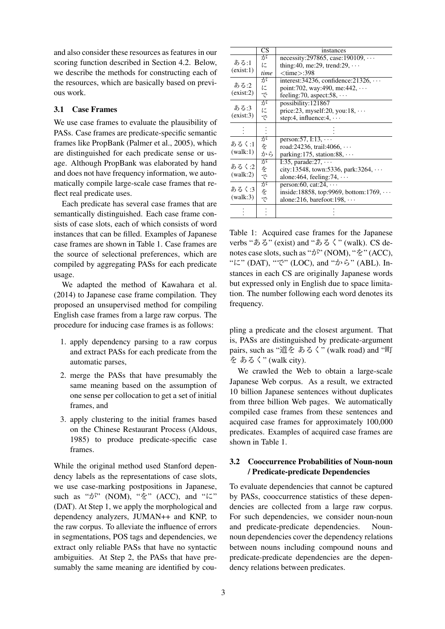and also consider these resources as features in our scoring function described in Section 4.2. Below, we describe the methods for constructing each of the resources, which are basically based on previous work.

### 3.1 Case Frames

We use case frames to evaluate the plausibility of PASs. Case frames are predicate-specific semantic frames like PropBank (Palmer et al., 2005), which are distinguished for each predicate sense or usage. Although PropBank was elaborated by hand and does not have frequency information, we automatically compile large-scale case frames that reflect real predicate uses.

Each predicate has several case frames that are semantically distinguished. Each case frame consists of case slots, each of which consists of word instances that can be filled. Examples of Japanese case frames are shown in Table 1. Case frames are the source of selectional preferences, which are compiled by aggregating PASs for each predicate usage.

We adapted the method of Kawahara et al. (2014) to Japanese case frame compilation. They proposed an unsupervised method for compiling English case frames from a large raw corpus. The procedure for inducing case frames is as follows:

- 1. apply dependency parsing to a raw corpus and extract PASs for each predicate from the automatic parses,
- 2. merge the PASs that have presumably the same meaning based on the assumption of one sense per collocation to get a set of initial frames, and
- 3. apply clustering to the initial frames based on the Chinese Restaurant Process (Aldous, 1985) to produce predicate-specific case frames.

While the original method used Stanford dependency labels as the representations of case slots, we use case-marking postpositions in Japanese, such as "が" (NOM), "を" (ACC), and "に" (DAT). At Step 1, we apply the morphological and dependency analyzers, JUMAN++ and KNP, to the raw corpus. To alleviate the influence of errors in segmentations, POS tags and dependencies, we extract only reliable PASs that have no syntactic ambiguities. At Step 2, the PASs that have presumably the same meaning are identified by cou-

|           | $\overline{\text{CS}}$ | instances                                          |
|-----------|------------------------|----------------------------------------------------|
|           | が                      | $necessity:297865$ , case: 190109, $\cdots$        |
| ある:1      | に                      | thing: 40, me: 29, trend: $29, \cdots$             |
| (exist:1) | time                   | $<$ time $>$ :398                                  |
|           | が                      | interest: $34236$ , confidence: $21326$ , $\cdots$ |
| ある:2      | に                      | point: 702, way: 490, me: 442, $\cdots$            |
| (exist:2) | で                      | feeling: 70, aspect: $58, \cdots$                  |
|           | が                      | possibility:121867                                 |
| ある:3      | に                      | price: 23, myself: 20, you: $18, \cdots$           |
| (exist:3) | で                      | step:4, influence:4, $\cdots$                      |
|           |                        |                                                    |
|           |                        |                                                    |
| あるく:1     | が                      | person: $57, 1:13, \cdots$                         |
| (walk:1)  | を                      | road:24236, trail:4066, $\cdots$                   |
|           | から                     | parking: $175$ , station: $88$ , $\cdots$          |
| あるく:2     | が                      | I:35, parade: $27, \cdots$                         |
|           | をで                     | city:13548, town:5336, park:3264, $\cdots$         |
| (walk:2)  |                        | alone: 464, feeling: $74, \cdots$                  |
|           | が                      | person: 60, cat: $24$ , $\cdots$                   |
| あるく:3     | $\dot{\textbf{z}}$     | inside: 18858, top: 9969, bottom: 1769, $\cdots$   |
| (walk:3)  | で                      | alone: 216, barefoot: $198, \cdots$                |
|           |                        |                                                    |
|           |                        |                                                    |

Table 1: Acquired case frames for the Japanese verbs "ある" (exist) and "あるく" (walk). CS denotes case slots, such as "が" (NOM), "を" (ACC), "に" (DAT), "で" (LOC), and "から" (ABL). Instances in each CS are originally Japanese words but expressed only in English due to space limitation. The number following each word denotes its frequency.

pling a predicate and the closest argument. That is, PASs are distinguished by predicate-argument pairs, such as "道を あるく" (walk road) and "町 を あるく" (walk city).

We crawled the Web to obtain a large-scale Japanese Web corpus. As a result, we extracted 10 billion Japanese sentences without duplicates from three billion Web pages. We automatically compiled case frames from these sentences and acquired case frames for approximately 100,000 predicates. Examples of acquired case frames are shown in Table 1.

# 3.2 Cooccurrence Probabilities of Noun-noun / Predicate-predicate Dependencies

To evaluate dependencies that cannot be captured by PASs, cooccurrence statistics of these dependencies are collected from a large raw corpus. For such dependencies, we consider noun-noun and predicate-predicate dependencies. Nounnoun dependencies cover the dependency relations between nouns including compound nouns and predicate-predicate dependencies are the dependency relations between predicates.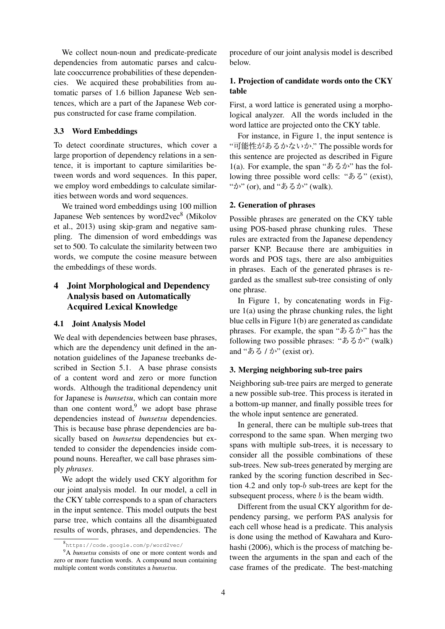We collect noun-noun and predicate-predicate dependencies from automatic parses and calculate cooccurrence probabilities of these dependencies. We acquired these probabilities from automatic parses of 1.6 billion Japanese Web sentences, which are a part of the Japanese Web corpus constructed for case frame compilation.

### 3.3 Word Embeddings

To detect coordinate structures, which cover a large proportion of dependency relations in a sentence, it is important to capture similarities between words and word sequences. In this paper, we employ word embeddings to calculate similarities between words and word sequences.

We trained word embeddings using 100 million Japanese Web sentences by word2vec8 (Mikolov et al., 2013) using skip-gram and negative sampling. The dimension of word embeddings was set to 500. To calculate the similarity between two words, we compute the cosine measure between the embeddings of these words.

# 4 Joint Morphological and Dependency Analysis based on Automatically Acquired Lexical Knowledge

#### 4.1 Joint Analysis Model

We deal with dependencies between base phrases, which are the dependency unit defined in the annotation guidelines of the Japanese treebanks described in Section 5.1. A base phrase consists of a content word and zero or more function words. Although the traditional dependency unit for Japanese is *bunsetsu*, which can contain more than one content word, $9$  we adopt base phrase dependencies instead of *bunsetsu* dependencies. This is because base phrase dependencies are basically based on *bunsetsu* dependencies but extended to consider the dependencies inside compound nouns. Hereafter, we call base phrases simply *phrases*.

We adopt the widely used CKY algorithm for our joint analysis model. In our model, a cell in the CKY table corresponds to a span of characters in the input sentence. This model outputs the best parse tree, which contains all the disambiguated results of words, phrases, and dependencies. The

procedure of our joint analysis model is described below.

## 1. Projection of candidate words onto the CKY table

First, a word lattice is generated using a morphological analyzer. All the words included in the word lattice are projected onto the CKY table.

For instance, in Figure 1, the input sentence is "可能性があるかないか." The possible words for this sentence are projected as described in Figure 1(a). For example, the span " $\delta \delta \phi$ " has the following three possible word cells: "ある" (exist), "か" (or), and "あるか" (walk).

#### 2. Generation of phrases

Possible phrases are generated on the CKY table using POS-based phrase chunking rules. These rules are extracted from the Japanese dependency parser KNP. Because there are ambiguities in words and POS tags, there are also ambiguities in phrases. Each of the generated phrases is regarded as the smallest sub-tree consisting of only one phrase.

In Figure 1, by concatenating words in Figure 1(a) using the phrase chunking rules, the light blue cells in Figure 1(b) are generated as candidate phrases. For example, the span "あるか" has the following two possible phrases: "あるか" (walk) and "ある / か" (exist or).

### 3. Merging neighboring sub-tree pairs

Neighboring sub-tree pairs are merged to generate a new possible sub-tree. This process is iterated in a bottom-up manner, and finally possible trees for the whole input sentence are generated.

In general, there can be multiple sub-trees that correspond to the same span. When merging two spans with multiple sub-trees, it is necessary to consider all the possible combinations of these sub-trees. New sub-trees generated by merging are ranked by the scoring function described in Section 4.2 and only top-b sub-trees are kept for the subsequent process, where  $b$  is the beam width.

Different from the usual CKY algorithm for dependency parsing, we perform PAS analysis for each cell whose head is a predicate. This analysis is done using the method of Kawahara and Kurohashi (2006), which is the process of matching between the arguments in the span and each of the case frames of the predicate. The best-matching

<sup>8</sup> https://code.google.com/p/word2vec/

<sup>&</sup>lt;sup>9</sup>A *bunsetsu* consists of one or more content words and zero or more function words. A compound noun containing multiple content words constitutes a *bunsetsu*.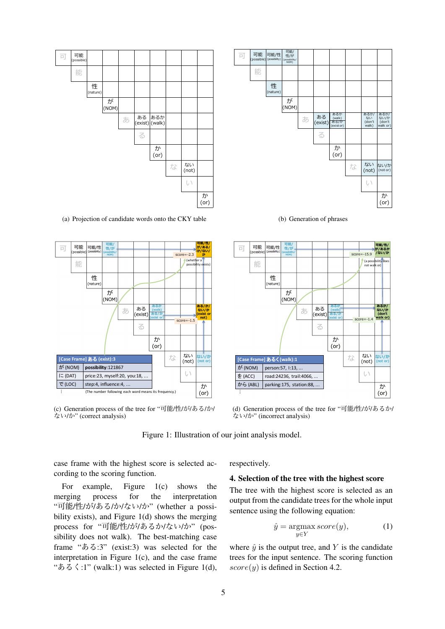

(a) Projection of candidate words onto the CKY table



(c) Generation process of the tree for "可能/性/が/ある/か/ ない/か" (correct analysis)



(b) Generation of phrases



(d) Generation process of the tree for "可能/性/が/あるか/ ない/か" (incorrect analysis)

Figure 1: Illustration of our joint analysis model.

case frame with the highest score is selected according to the scoring function.

For example, Figure 1(c) shows the merging process for the interpretation "可能/性/が/ある/か/ない/か" (whether a possibility exists), and Figure 1(d) shows the merging process for "可能/性/が/あるか/ない/か" (possibility does not walk). The best-matching case frame "ある:3" (exist:3) was selected for the interpretation in Figure 1(c), and the case frame " $\delta \leq 1$ " (walk:1) was selected in Figure 1(d), respectively.

### 4. Selection of the tree with the highest score

The tree with the highest score is selected as an output from the candidate trees for the whole input sentence using the following equation:

$$
\hat{y} = \underset{y \in Y}{\operatorname{argmax}} score(y), \tag{1}
$$

where  $\hat{y}$  is the output tree, and Y is the candidate trees for the input sentence. The scoring function  $score(y)$  is defined in Section 4.2.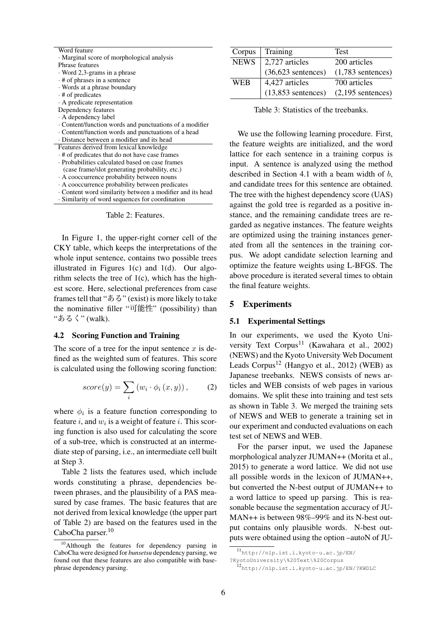| Word feature                                            | Corpus        | η           |
|---------------------------------------------------------|---------------|-------------|
| Marginal score of morphological analysis                | <b>NEWS</b>   | $\tilde{z}$ |
| Phrase features                                         |               |             |
| Word 2,3-grams in a phrase                              |               |             |
| $\cdot$ # of phrases in a sentence                      | WEB           |             |
| · Words at a phrase boundary                            |               |             |
| $\cdot$ # of predicates                                 |               |             |
| · A predicate representation                            |               |             |
| Dependency features                                     | Tabl          |             |
| A dependency label                                      |               |             |
| • Content/function words and punctuations of a modifier |               |             |
| Content/function words and punctuations of a head       | We use th     |             |
| Distance between a modifier and its head                | the feature   |             |
| Features derived from lexical knowledge                 |               |             |
| $\cdot$ # of predicates that do not have case frames    | lattice for e |             |
| Probabilities calculated based on case frames           | input. A se   |             |
| (case frame/slot generating probability, etc.)          |               |             |
| A cooccurrence probability between nouns                | described in  |             |
| A cooccurrence probability between predicates           | and candida   |             |
| Content word similarity between a modifier and its head | The tree wit  |             |
|                                                         |               |             |

Table 2: Features.

· Similarity of word sequences for coordination

In Figure 1, the upper-right corner cell of the CKY table, which keeps the interpretations of the whole input sentence, contains two possible trees illustrated in Figures 1(c) and 1(d). Our algorithm selects the tree of 1(c), which has the highest score. Here, selectional preferences from case frames tell that "ある" (exist) is more likely to take the nominative filler "可能性" (possibility) than "あるく" (walk).

#### 4.2 Scoring Function and Training

The score of a tree for the input sentence  $x$  is defined as the weighted sum of features. This score is calculated using the following scoring function:

$$
score(y) = \sum_{i} (w_i \cdot \phi_i(x, y)), \qquad (2)
$$

where  $\phi_i$  is a feature function corresponding to feature *i*, and  $w_i$  is a weight of feature *i*. This scoring function is also used for calculating the score of a sub-tree, which is constructed at an intermediate step of parsing, i.e., an intermediate cell built at Step 3.

Table 2 lists the features used, which include words constituting a phrase, dependencies between phrases, and the plausibility of a PAS measured by case frames. The basic features that are not derived from lexical knowledge (the upper part of Table 2) are based on the features used in the CaboCha parser.<sup>10</sup>

| Corpus     | Training                                 | <b>Test</b>         |
|------------|------------------------------------------|---------------------|
|            | NEWS $\vert 2,727$ articles              | 200 articles        |
|            | $(36,623$ sentences)                     | $(1,783$ sentences) |
| <b>WEB</b> | 4,427 articles                           | 700 articles        |
|            | $(13,853$ sentences) $(2,195$ sentences) |                     |
|            |                                          |                     |

le 3: Statistics of the treebanks.

he following learning procedure. First, weights are initialized, and the word each sentence in a training corpus is entence is analyzed using the method n Section 4.1 with a beam width of  $b$ , ate trees for this sentence are obtained. The tree with the highest dependency score (UAS) against the gold tree is regarded as a positive instance, and the remaining candidate trees are regarded as negative instances. The feature weights are optimized using the training instances generated from all the sentences in the training corpus. We adopt candidate selection learning and optimize the feature weights using L-BFGS. The above procedure is iterated several times to obtain the final feature weights.

### 5 Experiments

#### 5.1 Experimental Settings

In our experiments, we used the Kyoto University Text Corpus<sup>11</sup> (Kawahara et al., 2002) (NEWS) and the Kyoto University Web Document Leads Corpus<sup>12</sup> (Hangyo et al., 2012) (WEB) as Japanese treebanks. NEWS consists of news articles and WEB consists of web pages in various domains. We split these into training and test sets as shown in Table 3. We merged the training sets of NEWS and WEB to generate a training set in our experiment and conducted evaluations on each test set of NEWS and WEB.

For the parser input, we used the Japanese morphological analyzer JUMAN++ (Morita et al., 2015) to generate a word lattice. We did not use all possible words in the lexicon of JUMAN++, but converted the N-best output of JUMAN++ to a word lattice to speed up parsing. This is reasonable because the segmentation accuracy of JU-MAN++ is between 98%–99% and its N-best output contains only plausible words. N-best outputs were obtained using the option –autoN of JU-

<sup>&</sup>lt;sup>10</sup>Although the features for dependency parsing in CaboCha were designed for *bunsetsu* dependency parsing, we found out that these features are also compatible with basephrase dependency parsing.

<sup>11</sup>http://nlp.ist.i.kyoto-u.ac.jp/EN/ ?KyotoUniversity\%20Text\%20Corpus

<sup>12</sup>http://nlp.ist.i.kyoto-u.ac.jp/EN/?KWDLC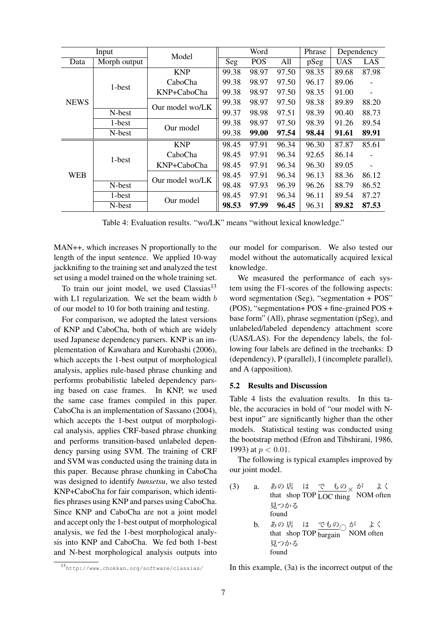| Input       |              | Model           | Word  |            | Phrase | Dependency |            |       |
|-------------|--------------|-----------------|-------|------------|--------|------------|------------|-------|
| Data        | Morph output |                 | Seg   | <b>POS</b> | All    | pSeg       | <b>UAS</b> | LAS   |
|             |              | <b>KNP</b>      | 99.38 | 98.97      | 97.50  | 98.35      | 89.68      | 87.98 |
|             | 1-best       | CaboCha         | 99.38 | 98.97      | 97.50  | 96.17      | 89.06      |       |
| <b>NEWS</b> |              | KNP+CaboCha     | 99.38 | 98.97      | 97.50  | 98.35      | 91.00      |       |
|             |              | Our model wo/LK | 99.38 | 98.97      | 97.50  | 98.38      | 89.89      | 88.20 |
|             | N-best       |                 | 99.37 | 98.98      | 97.51  | 98.39      | 90.40      | 88.73 |
|             | 1-best       | Our model       | 99.38 | 98.97      | 97.50  | 98.39      | 91.26      | 89.54 |
|             | N-best       |                 | 99.38 | 99.00      | 97.54  | 98.44      | 91.61      | 89.91 |
|             | 1-best       | <b>KNP</b>      | 98.45 | 97.91      | 96.34  | 96.30      | 87.87      | 85.61 |
|             |              | CaboCha         | 98.45 | 97.91      | 96.34  | 92.65      | 86.14      |       |
|             |              | KNP+CaboCha     | 98.45 | 97.91      | 96.34  | 96.30      | 89.05      |       |
| <b>WEB</b>  |              | Our model wo/LK | 98.45 | 97.91      | 96.34  | 96.13      | 88.36      | 86.12 |
|             | N-best       |                 | 98.48 | 97.93      | 96.39  | 96.26      | 88.79      | 86.52 |
|             | 1-best       | Our model       | 98.45 | 97.91      | 96.34  | 96.11      | 89.54      | 87.27 |
|             | N-best       |                 | 98.53 | 97.99      | 96.45  | 96.31      | 89.82      | 87.53 |

Table 4: Evaluation results. "wo/LK" means "without lexical knowledge."

MAN++, which increases N proportionally to the length of the input sentence. We applied 10-way jackknifing to the training set and analyzed the test set using a model trained on the whole training set.

To train our joint model, we used  $\text{Class}^{13}$ with L1 regularization. We set the beam width b of our model to 10 for both training and testing.

For comparison, we adopted the latest versions of KNP and CaboCha, both of which are widely used Japanese dependency parsers. KNP is an implementation of Kawahara and Kurohashi (2006), which accepts the 1-best output of morphological analysis, applies rule-based phrase chunking and performs probabilistic labeled dependency parsing based on case frames. In KNP, we used the same case frames compiled in this paper. CaboCha is an implementation of Sassano (2004), which accepts the 1-best output of morphological analysis, applies CRF-based phrase chunking and performs transition-based unlabeled dependency parsing using SVM. The training of CRF and SVM was conducted using the training data in this paper. Because phrase chunking in CaboCha was designed to identify *bunsetsu*, we also tested KNP+CaboCha for fair comparison, which identifies phrases using KNP and parses using CaboCha. Since KNP and CaboCha are not a joint model and accept only the 1-best output of morphological analysis, we fed the 1-best morphological analysis into KNP and CaboCha. We fed both 1-best and N-best morphological analysis outputs into

our model for comparison. We also tested our model without the automatically acquired lexical knowledge.

We measured the performance of each system using the F1-scores of the following aspects: word segmentation (Seg), "segmentation + POS" (POS), "segmentation+ POS + fine-grained POS + base form" (All), phrase segmentation (pSeg), and unlabeled/labeled dependency attachment score (UAS/LAS). For the dependency labels, the following four labels are defined in the treebanks: D (dependency), P (parallel), I (incomplete parallel), and A (apposition).

### 5.2 Results and Discussion

Table 4 lists the evaluation results. In this table, the accuracies in bold of "our model with Nbest input" are significantly higher than the other models. Statistical testing was conducted using the bootstrap method (Efron and Tibshirani, 1986, 1993) at  $p < 0.01$ .

The following is typical examples improved by our joint model.

\n- (3) a. あの店 は で もの
$$
\times
$$
 が はく that shop TOP LOC thing NOM oftenh 月つかる
\n- b. あの店 は でもの が は、 that shop TOP bargain NOM oftenh 月つかる
\n- 60
\n- 61
\n- 62
\n

<sup>13</sup>http://www.chokkan.org/software/classias/

In this example, (3a) is the incorrect output of the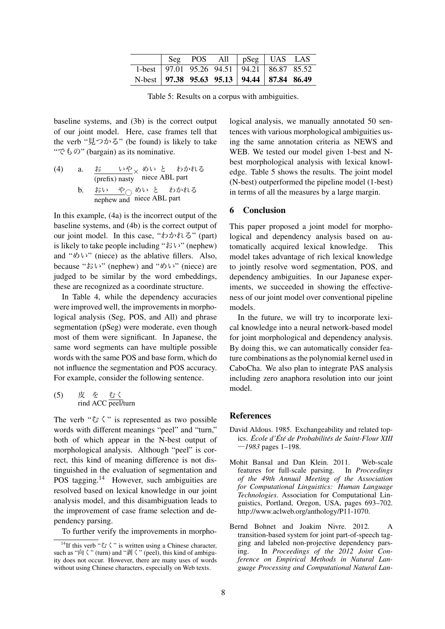|                                                  |  | $\vert$ Seg POS All $\vert$ pSeg $\vert$ UAS LAS |  |
|--------------------------------------------------|--|--------------------------------------------------|--|
|                                                  |  | 1-best   97.01 95.26 94.51   94.21   86.87 85.52 |  |
| N-best   97.38 95.63 95.13   94.44   87.84 86.49 |  |                                                  |  |

Table 5: Results on a corpus with ambiguities.

baseline systems, and (3b) is the correct output of our joint model. Here, case frames tell that the verb "見つかる" (be found) is likely to take "でもの" (bargain) as its nominative.

(4) a. <u>お いや</u> めい と わかれる (prefix) nasty niece ABL part b. <u>おい や</u>○ nephew and めい niece と ABL わかれる part

In this example, (4a) is the incorrect output of the baseline systems, and (4b) is the correct output of our joint model. In this case, "わかれる" (part) is likely to take people including "おい" (nephew) and " $\&$   $\vee$ " (niece) as the ablative fillers. Also, because "おい" (nephew) and "めい" (niece) are judged to be similar by the word embeddings, these are recognized as a coordinate structure.

In Table 4, while the dependency accuracies were improved well, the improvements in morphological analysis (Seg, POS, and All) and phrase segmentation (pSeg) were moderate, even though most of them were significant. In Japanese, the same word segments can have multiple possible words with the same POS and base form, which do not influence the segmentation and POS accuracy. For example, consider the following sentence.

$$
\begin{array}{lll} (5) & \not\stackrel{\text{#}}{\mathcal{K}} & \not\stackrel{\text{#}}{\mathcal{K}} & \text{# } \langle \\ & \text{find ACC} & \text{peel/turn} \end{array}
$$

The verb " $\mathcal{V} \langle$ " is represented as two possible words with different meanings "peel" and "turn," both of which appear in the N-best output of morphological analysis. Although "peel" is correct, this kind of meaning difference is not distinguished in the evaluation of segmentation and POS tagging.<sup>14</sup> However, such ambiguities are resolved based on lexical knowledge in our joint analysis model, and this disambiguation leads to the improvement of case frame selection and dependency parsing.

To further verify the improvements in morpho-

logical analysis, we manually annotated 50 sentences with various morphological ambiguities using the same annotation criteria as NEWS and WEB. We tested our model given 1-best and Nbest morphological analysis with lexical knowledge. Table 5 shows the results. The joint model (N-best) outperformed the pipeline model (1-best) in terms of all the measures by a large margin.

## 6 Conclusion

This paper proposed a joint model for morphological and dependency analysis based on automatically acquired lexical knowledge. This model takes advantage of rich lexical knowledge to jointly resolve word segmentation, POS, and dependency ambiguities. In our Japanese experiments, we succeeded in showing the effectiveness of our joint model over conventional pipeline models.

In the future, we will try to incorporate lexical knowledge into a neural network-based model for joint morphological and dependency analysis. By doing this, we can automatically consider feature combinations as the polynomial kernel used in CaboCha. We also plan to integrate PAS analysis including zero anaphora resolution into our joint model.

### References

- David Aldous. 1985. Exchangeability and related topics. *Ecole d' ´ Et´ e de Probabilit ´ es de Saint-Flour XIII ´* **―***1983* pages 1–198.
- Mohit Bansal and Dan Klein. 2011. Web-scale features for full-scale parsing. In *Proceedings of the 49th Annual Meeting of the Association for Computational Linguistics: Human Language Technologies*. Association for Computational Linguistics, Portland, Oregon, USA, pages 693–702. http://www.aclweb.org/anthology/P11-1070.
- Bernd Bohnet and Joakim Nivre. 2012. A transition-based system for joint part-of-speech tagging and labeled non-projective dependency parsing. In *Proceedings of the 2012 Joint Conference on Empirical Methods in Natural Language Processing and Computational Natural Lan-*

<sup>&</sup>lt;sup>14</sup>If this verb " $\mathcal{O}$ " is written using a Chinese character. such as " $\overrightarrow{p}$  (turn) and " $\overrightarrow{p}$  ("peel), this kind of ambiguity does not occur. However, there are many uses of words without using Chinese characters, especially on Web texts.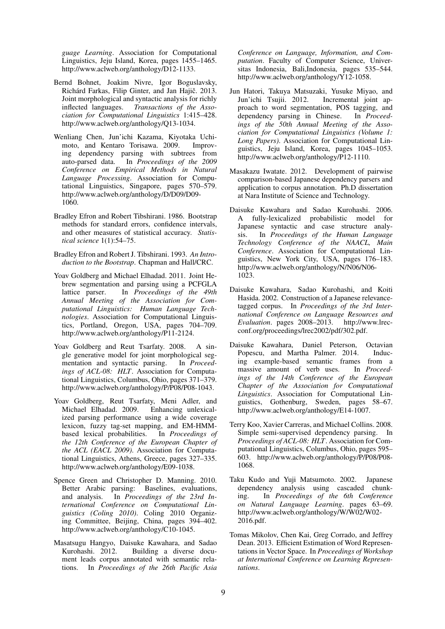*guage Learning*. Association for Computational Linguistics, Jeju Island, Korea, pages 1455–1465. http://www.aclweb.org/anthology/D12-1133.

- Bernd Bohnet, Joakim Nivre, Igor Boguslavsky, Richárd Farkas, Filip Ginter, and Jan Hajič. 2013. Joint morphological and syntactic analysis for richly inflected languages. *Transactions of the Association for Computational Linguistics* 1:415–428. http://www.aclweb.org/anthology/Q13-1034.
- Wenliang Chen, Jun'ichi Kazama, Kiyotaka Uchimoto, and Kentaro Torisawa. 2009. Improving dependency parsing with subtrees from auto-parsed data. In *Proceedings of the 2009 Conference on Empirical Methods in Natural Language Processing*. Association for Computational Linguistics, Singapore, pages 570–579. http://www.aclweb.org/anthology/D/D09/D09- 1060.
- Bradley Efron and Robert Tibshirani. 1986. Bootstrap methods for standard errors, confidence intervals, and other measures of statistical accuracy. *Statistical science* 1(1):54–75.
- Bradley Efron and Robert J. Tibshirani. 1993. *An Introduction to the Bootstrap*. Chapman and Hall/CRC.
- Yoav Goldberg and Michael Elhadad. 2011. Joint Hebrew segmentation and parsing using a PCFGLA<br>lattice parser. In *Proceedings of the 49th* In *Proceedings of the 49th Annual Meeting of the Association for Computational Linguistics: Human Language Technologies*. Association for Computational Linguistics, Portland, Oregon, USA, pages 704–709. http://www.aclweb.org/anthology/P11-2124.
- Yoav Goldberg and Reut Tsarfaty. 2008. A single generative model for joint morphological segmentation and syntactic parsing. In *Proceedings of ACL-08: HLT*. Association for Computational Linguistics, Columbus, Ohio, pages 371–379. http://www.aclweb.org/anthology/P/P08/P08-1043.
- Yoav Goldberg, Reut Tsarfaty, Meni Adler, and Michael Elhadad. 2009. Enhancing unlexicalized parsing performance using a wide coverage lexicon, fuzzy tag-set mapping, and EM-HMMbased lexical probabilities. In *Proceedings of the 12th Conference of the European Chapter of the ACL (EACL 2009)*. Association for Computational Linguistics, Athens, Greece, pages 327–335. http://www.aclweb.org/anthology/E09-1038.
- Spence Green and Christopher D. Manning. 2010. Better Arabic parsing: Baselines, evaluations, and analysis. In *Proceedings of the 23rd International Conference on Computational Linguistics (Coling 2010)*. Coling 2010 Organizing Committee, Beijing, China, pages 394–402. http://www.aclweb.org/anthology/C10-1045.
- Masatsugu Hangyo, Daisuke Kawahara, and Sadao Building a diverse document leads corpus annotated with semantic relations. In *Proceedings of the 26th Pacific Asia*

*Conference on Language, Information, and Computation*. Faculty of Computer Science, Universitas Indonesia, Bali,Indonesia, pages 535–544. http://www.aclweb.org/anthology/Y12-1058.

- Jun Hatori, Takuya Matsuzaki, Yusuke Miyao, and Incremental joint approach to word segmentation, POS tagging, and dependency parsing in Chinese. In *Proceed*dependency parsing in Chinese. *ings of the 50th Annual Meeting of the Association for Computational Linguistics (Volume 1: Long Papers)*. Association for Computational Linguistics, Jeju Island, Korea, pages 1045–1053. http://www.aclweb.org/anthology/P12-1110.
- Masakazu Iwatate. 2012. Development of pairwise comparison-based Japanese dependency parsers and application to corpus annotation. Ph.D dissertation at Nara Institute of Science and Technology.
- Daisuke Kawahara and Sadao Kurohashi. 2006. A fully-lexicalized probabilistic model for Japanese syntactic and case structure analysis. In *Proceedings of the Human Language Technology Conference of the NAACL, Main Conference*. Association for Computational Linguistics, New York City, USA, pages 176–183. http://www.aclweb.org/anthology/N/N06/N06- 1023.
- Daisuke Kawahara, Sadao Kurohashi, and Koiti Hasida. 2002. Construction of a Japanese relevancetagged corpus. In *Proceedings of the 3rd International Conference on Language Resources and Evaluation*. pages 2008–2013. http://www.lrecconf.org/proceedings/lrec2002/pdf/302.pdf.
- Daisuke Kawahara, Daniel Peterson, Octavian Popescu, and Martha Palmer. 2014. Inducing example-based semantic frames from a massive amount of verb uses. In *Proceedings of the 14th Conference of the European Chapter of the Association for Computational Linguistics*. Association for Computational Linguistics, Gothenburg, Sweden, pages 58–67. http://www.aclweb.org/anthology/E14-1007.
- Terry Koo, Xavier Carreras, and Michael Collins. 2008. Simple semi-supervised dependency parsing. In *Proceedings of ACL-08: HLT*. Association for Computational Linguistics, Columbus, Ohio, pages 595– 603. http://www.aclweb.org/anthology/P/P08/P08- 1068.
- Taku Kudo and Yuji Matsumoto. 2002. Japanese dependency analysis using cascaded chunking. In *Proceedings of the 6th Conference on Natural Language Learning*. pages 63–69. http://www.aclweb.org/anthology/W/W02/W02- 2016.pdf.
- Tomas Mikolov, Chen Kai, Greg Corrado, and Jeffrey Dean. 2013. Efficient Estimation of Word Representations in Vector Space. In *Proceedings of Workshop at International Conference on Learning Representations*.